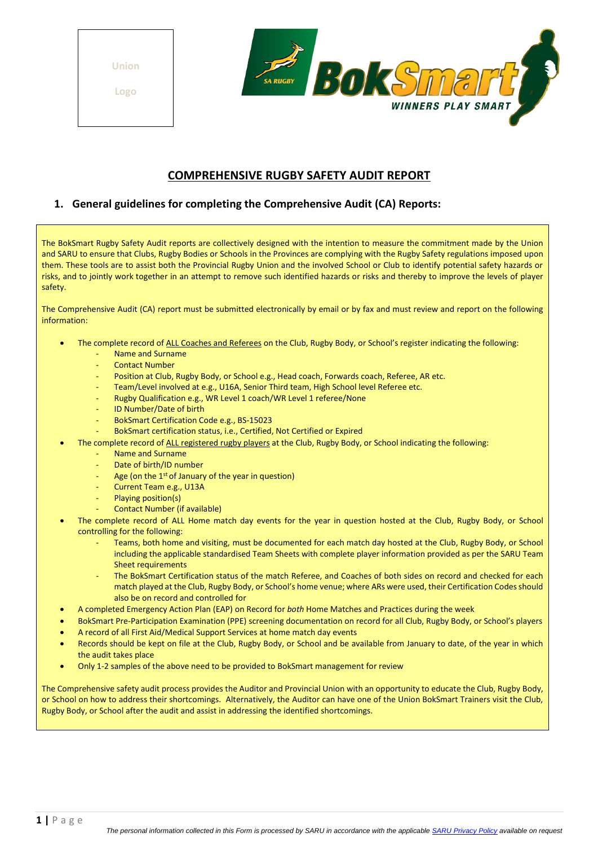**Union** 

**Logo**



## **COMPREHENSIVE RUGBY SAFETY AUDIT REPORT**

### **1. General guidelines for completing the Comprehensive Audit (CA) Reports:**

The BokSmart Rugby Safety Audit reports are collectively designed with the intention to measure the commitment made by the Union and SARU to ensure that Clubs, Rugby Bodies or Schools in the Provinces are complying with the Rugby Safety regulations imposed upon them. These tools are to assist both the Provincial Rugby Union and the involved School or Club to identify potential safety hazards or risks, and to jointly work together in an attempt to remove such identified hazards or risks and thereby to improve the levels of player safety.

The Comprehensive Audit (CA) report must be submitted electronically by email or by fax and must review and report on the following information:

- The complete record of ALL Coaches and Referees on the Club, Rugby Body, or School's register indicating the following:
	- Name and Surname
	- Contact Number
	- Position at Club, Rugby Body, or School e.g., Head coach, Forwards coach, Referee, AR etc.
	- Team/Level involved at e.g., U16A, Senior Third team, High School level Referee etc.
	- Rugby Qualification e.g., WR Level 1 coach/WR Level 1 referee/None
	- ID Number/Date of birth
	- BokSmart Certification Code e.g., BS-15023
	- BokSmart certification status, i.e., Certified, Not Certified or Expired
- The complete record of ALL registered rugby players at the Club, Rugby Body, or School indicating the following:
	- Name and Surname
	- Date of birth/ID number
	- Age (on the 1<sup>st</sup> of January of the year in question)
	- Current Team e.g., U13A
	- Playing position(s)
	- Contact Number (if available)
- The complete record of ALL Home match day events for the year in question hosted at the Club, Rugby Body, or School controlling for the following:
	- Teams, both home and visiting, must be documented for each match day hosted at the Club, Rugby Body, or School including the applicable standardised Team Sheets with complete player information provided as per the SARU Team Sheet requirements
	- The BokSmart Certification status of the match Referee, and Coaches of both sides on record and checked for each match played at the Club, Rugby Body, or School's home venue; where ARs were used, their Certification Codes should also be on record and controlled for
- A completed Emergency Action Plan (EAP) on Record for *both* Home Matches and Practices during the week
- BokSmart Pre-Participation Examination (PPE) screening documentation on record for all Club, Rugby Body, or School's players
- A record of all First Aid/Medical Support Services at home match day events
- Records should be kept on file at the Club, Rugby Body, or School and be available from January to date, of the year in which the audit takes place
- Only 1-2 samples of the above need to be provided to BokSmart management for review

The Comprehensive safety audit process provides the Auditor and Provincial Union with an opportunity to educate the Club, Rugby Body, or School on how to address their shortcomings. Alternatively, the Auditor can have one of the Union BokSmart Trainers visit the Club, Rugby Body, or School after the audit and assist in addressing the identified shortcomings.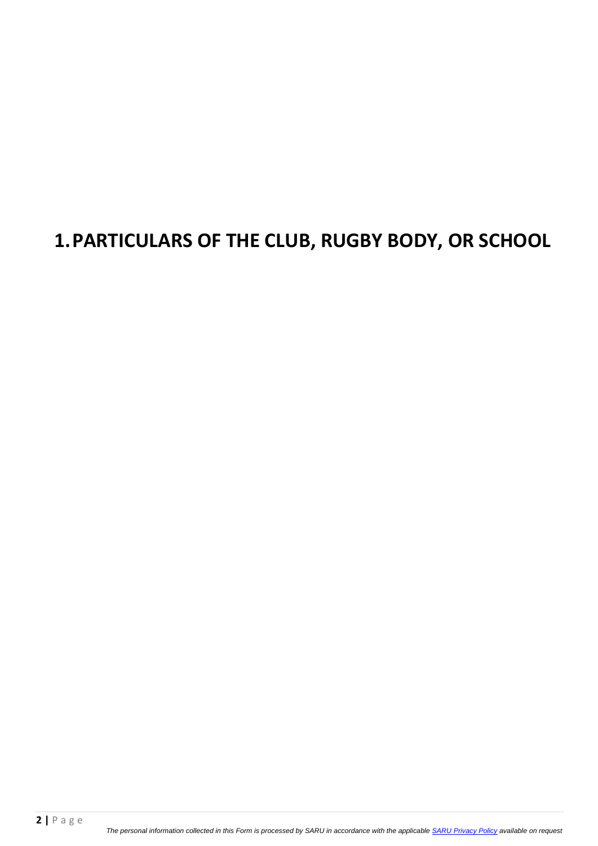## **1.PARTICULARS OF THE CLUB, RUGBY BODY, OR SCHOOL**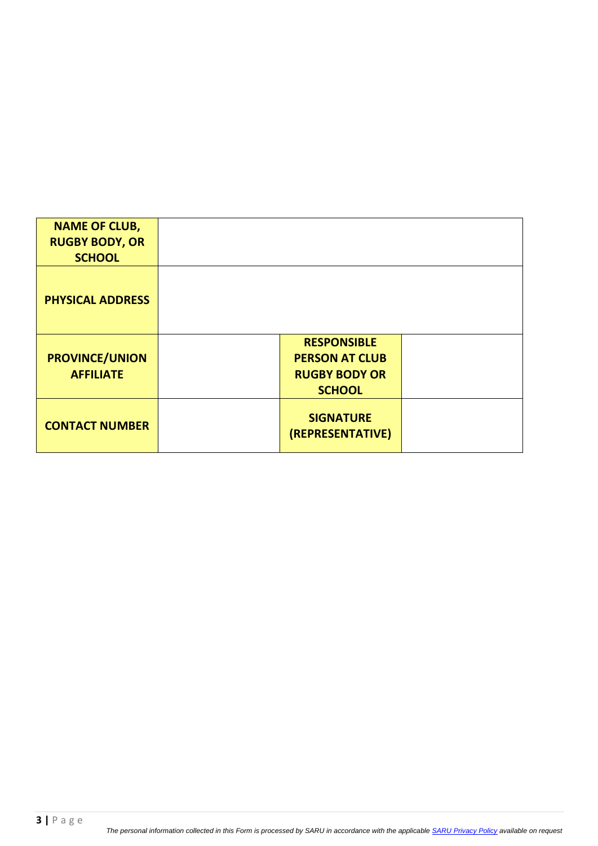| <b>NAME OF CLUB,</b>                      |                                                                                      |  |
|-------------------------------------------|--------------------------------------------------------------------------------------|--|
| <b>RUGBY BODY, OR</b>                     |                                                                                      |  |
| <b>SCHOOL</b>                             |                                                                                      |  |
| <b>PHYSICAL ADDRESS</b>                   |                                                                                      |  |
| <b>PROVINCE/UNION</b><br><b>AFFILIATE</b> | <b>RESPONSIBLE</b><br><b>PERSON AT CLUB</b><br><b>RUGBY BODY OR</b><br><b>SCHOOL</b> |  |
| <b>CONTACT NUMBER</b>                     | <b>SIGNATURE</b><br>(REPRESENTATIVE)                                                 |  |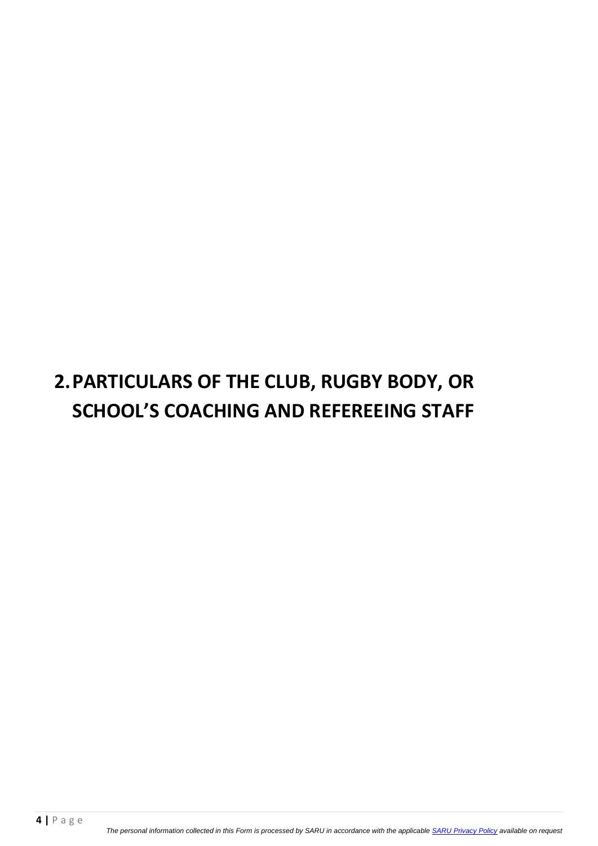# **2.PARTICULARS OF THE CLUB, RUGBY BODY, OR SCHOOL'S COACHING AND REFEREEING STAFF**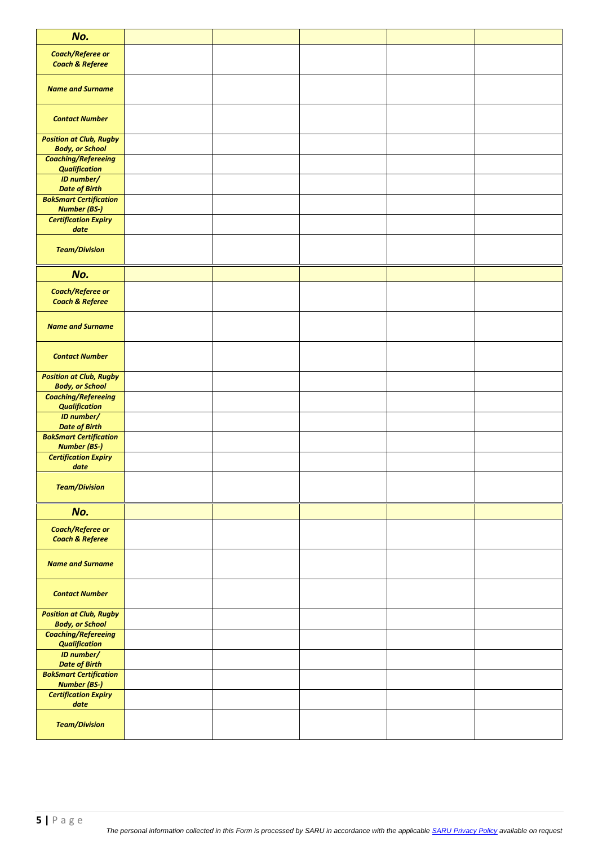| No.                                                      |  |  |  |
|----------------------------------------------------------|--|--|--|
| <b>Coach/Referee or</b><br><b>Coach &amp; Referee</b>    |  |  |  |
| <b>Name and Surname</b>                                  |  |  |  |
| <b>Contact Number</b>                                    |  |  |  |
| <b>Position at Club, Rugby</b><br><b>Body, or School</b> |  |  |  |
| <b>Coaching/Refereeing</b><br><b>Qualification</b>       |  |  |  |
| <b>ID</b> number/<br><b>Date of Birth</b>                |  |  |  |
| <b>BokSmart Certification</b><br><b>Number (BS-)</b>     |  |  |  |
| <b>Certification Expiry</b><br>date                      |  |  |  |
| <b>Team/Division</b>                                     |  |  |  |
| No.                                                      |  |  |  |
| <b>Coach/Referee or</b><br><b>Coach &amp; Referee</b>    |  |  |  |
| <b>Name and Surname</b>                                  |  |  |  |
| <b>Contact Number</b>                                    |  |  |  |
| <b>Position at Club, Rugby</b><br><b>Body, or School</b> |  |  |  |
| <b>Coaching/Refereeing</b><br><b>Qualification</b>       |  |  |  |
| ID number/<br><b>Date of Birth</b>                       |  |  |  |
| <b>BokSmart Certification</b><br><b>Number (BS-)</b>     |  |  |  |
| <b>Certification Expiry</b><br>date                      |  |  |  |
| <b>Team/Division</b>                                     |  |  |  |
| No.                                                      |  |  |  |
| <b>Coach/Referee or</b><br><b>Coach &amp; Referee</b>    |  |  |  |
| <b>Name and Surname</b>                                  |  |  |  |
| <b>Contact Number</b>                                    |  |  |  |
| <b>Position at Club, Rugby</b><br><b>Body, or School</b> |  |  |  |
| <b>Coaching/Refereeing</b><br><b>Qualification</b>       |  |  |  |
| <b>ID</b> number/<br><b>Date of Birth</b>                |  |  |  |
| <b>BokSmart Certification</b><br><b>Number (BS-)</b>     |  |  |  |
| <b>Certification Expiry</b><br>date                      |  |  |  |
| <b>Team/Division</b>                                     |  |  |  |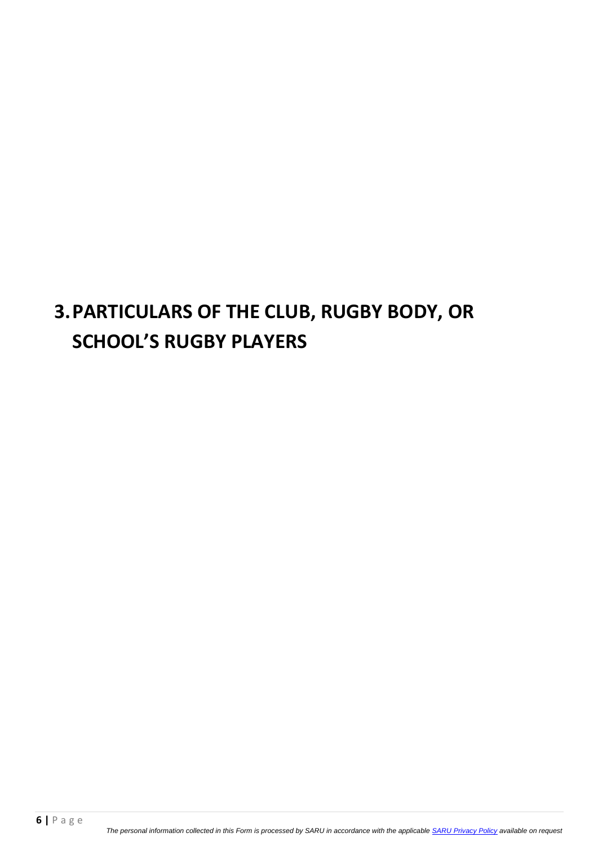## **3.PARTICULARS OF THE CLUB, RUGBY BODY, OR SCHOOL'S RUGBY PLAYERS**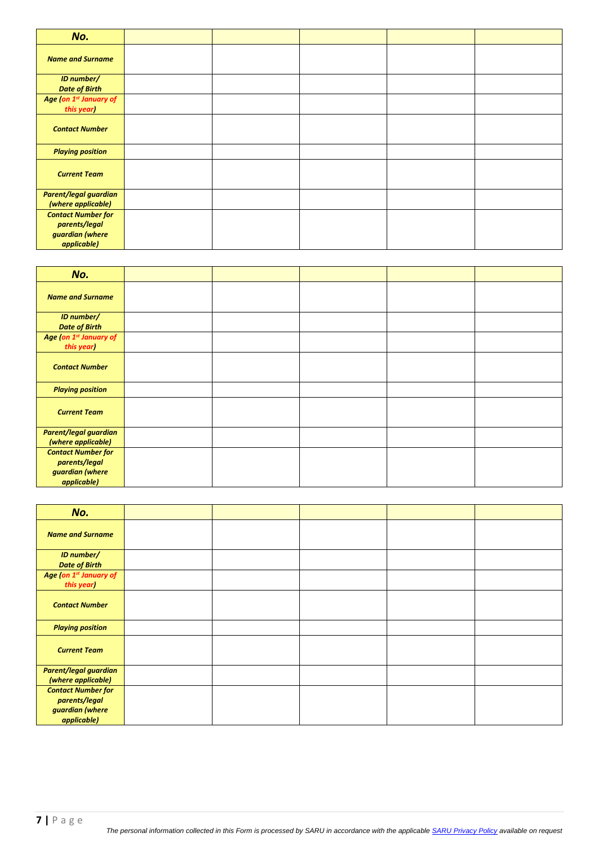| No.                                                                          |  |  |  |
|------------------------------------------------------------------------------|--|--|--|
| <b>Name and Surname</b>                                                      |  |  |  |
| ID number/<br><b>Date of Birth</b>                                           |  |  |  |
| Age (on 1 <sup>st</sup> January of<br>this year)                             |  |  |  |
| <b>Contact Number</b>                                                        |  |  |  |
| <b>Playing position</b>                                                      |  |  |  |
| <b>Current Team</b>                                                          |  |  |  |
| <b>Parent/legal guardian</b><br>(where applicable)                           |  |  |  |
| <b>Contact Number for</b><br>parents/legal<br>guardian (where<br>applicable) |  |  |  |

| No.                                                                          |  |  |  |
|------------------------------------------------------------------------------|--|--|--|
| <b>Name and Surname</b>                                                      |  |  |  |
| ID number/<br><b>Date of Birth</b>                                           |  |  |  |
| Age (on 1 <sup>st</sup> January of<br>this year)                             |  |  |  |
| <b>Contact Number</b>                                                        |  |  |  |
| <b>Playing position</b>                                                      |  |  |  |
| <b>Current Team</b>                                                          |  |  |  |
| <b>Parent/legal guardian</b><br>(where applicable)                           |  |  |  |
| <b>Contact Number for</b><br>parents/legal<br>guardian (where<br>applicable) |  |  |  |

| No.                                                                          |  |  |  |
|------------------------------------------------------------------------------|--|--|--|
| <b>Name and Surname</b>                                                      |  |  |  |
| <b>ID number/</b><br><b>Date of Birth</b>                                    |  |  |  |
| Age (on 1 <sup>st</sup> January of<br>this year)                             |  |  |  |
| <b>Contact Number</b>                                                        |  |  |  |
| <b>Playing position</b>                                                      |  |  |  |
| <b>Current Team</b>                                                          |  |  |  |
| <b>Parent/legal guardian</b><br>(where applicable)                           |  |  |  |
| <b>Contact Number for</b><br>parents/legal<br>guardian (where<br>applicable) |  |  |  |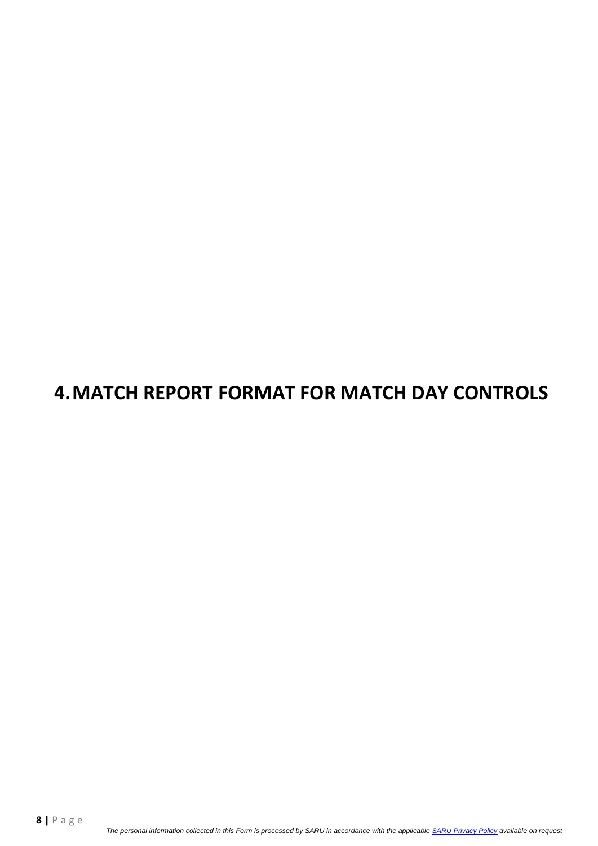## **4.MATCH REPORT FORMAT FOR MATCH DAY CONTROLS**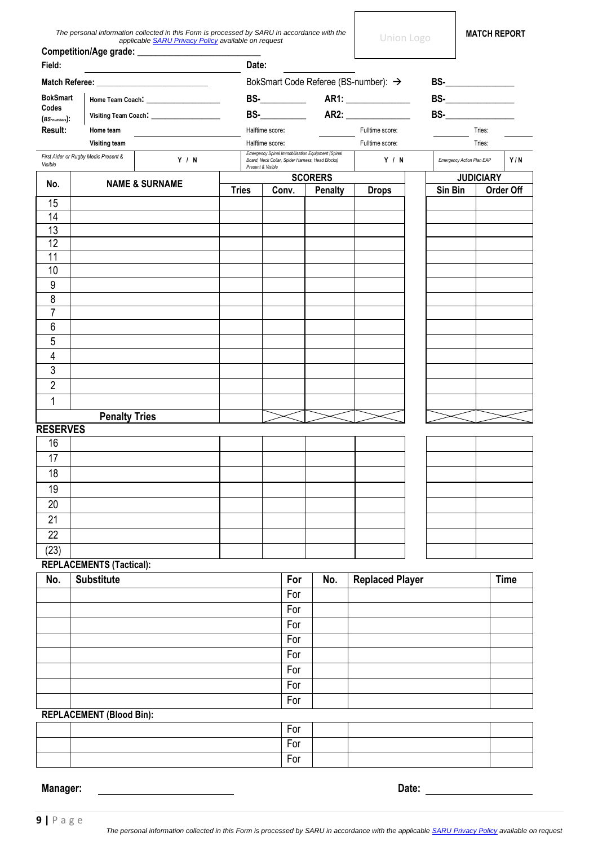| The personal information collected in this Form is processed by SARU in accordance with the |
|---------------------------------------------------------------------------------------------|
| applicable <b>SARU Privacy Policy</b> available on request                                  |

|                           |                                      | Competition/Age grade: ______________    |              |                   |       |                                                                                                       |                                      |                           |                  |             |
|---------------------------|--------------------------------------|------------------------------------------|--------------|-------------------|-------|-------------------------------------------------------------------------------------------------------|--------------------------------------|---------------------------|------------------|-------------|
| Field:                    |                                      |                                          | Date:        |                   |       |                                                                                                       |                                      |                           |                  |             |
|                           |                                      |                                          |              |                   |       |                                                                                                       | BokSmart Code Referee (BS-number): → |                           |                  |             |
| <b>BokSmart</b>           |                                      |                                          |              |                   |       |                                                                                                       |                                      | $BS-$                     |                  |             |
| Codes<br>$(BS-numbers)$ : |                                      | Visiting Team Coach: Visiting Team Coach |              |                   |       |                                                                                                       |                                      |                           |                  |             |
| Result:                   | Home team                            |                                          |              | Halftime score:   |       |                                                                                                       | Fulltime score:                      | Tries:                    |                  |             |
|                           | <b>Visiting team</b>                 |                                          |              | Halftime score:   |       |                                                                                                       | Fulltime score:                      |                           | Tries:           |             |
| Visible                   | First Aider or Rugby Medic Present & | Y / N                                    |              | Present & Visible |       | Emergency Spinal Immobilisation Equipment (Spinal<br>Board, Neck Collar, Spider Harness, Head Blocks) | Y / N                                | Emergency Action Plan EAP |                  | Y/N         |
| No.                       |                                      | <b>NAME &amp; SURNAME</b>                | <b>Tries</b> |                   | Conv. | <b>SCORERS</b><br><b>Penalty</b>                                                                      | <b>Drops</b>                         | Sin Bin                   | <b>JUDICIARY</b> | Order Off   |
| 15                        |                                      |                                          |              |                   |       |                                                                                                       |                                      |                           |                  |             |
| 14                        |                                      |                                          |              |                   |       |                                                                                                       |                                      |                           |                  |             |
| 13                        |                                      |                                          |              |                   |       |                                                                                                       |                                      |                           |                  |             |
| 12                        |                                      |                                          |              |                   |       |                                                                                                       |                                      |                           |                  |             |
| 11                        |                                      |                                          |              |                   |       |                                                                                                       |                                      |                           |                  |             |
| 10                        |                                      |                                          |              |                   |       |                                                                                                       |                                      |                           |                  |             |
| 9                         |                                      |                                          |              |                   |       |                                                                                                       |                                      |                           |                  |             |
| 8                         |                                      |                                          |              |                   |       |                                                                                                       |                                      |                           |                  |             |
| $\overline{7}$            |                                      |                                          |              |                   |       |                                                                                                       |                                      |                           |                  |             |
| 6                         |                                      |                                          |              |                   |       |                                                                                                       |                                      |                           |                  |             |
| 5                         |                                      |                                          |              |                   |       |                                                                                                       |                                      |                           |                  |             |
| 4                         |                                      |                                          |              |                   |       |                                                                                                       |                                      |                           |                  |             |
| 3                         |                                      |                                          |              |                   |       |                                                                                                       |                                      |                           |                  |             |
| $\overline{2}$            |                                      |                                          |              |                   |       |                                                                                                       |                                      |                           |                  |             |
| 1                         |                                      |                                          |              |                   |       |                                                                                                       |                                      |                           |                  |             |
|                           | <b>Penalty Tries</b>                 |                                          |              |                   |       |                                                                                                       |                                      |                           |                  |             |
| <b>RESERVES</b>           |                                      |                                          |              |                   |       |                                                                                                       |                                      |                           |                  |             |
| 16                        |                                      |                                          |              |                   |       |                                                                                                       |                                      |                           |                  |             |
| 17                        |                                      |                                          |              |                   |       |                                                                                                       |                                      |                           |                  |             |
| 18                        |                                      |                                          |              |                   |       |                                                                                                       |                                      |                           |                  |             |
| 19                        |                                      |                                          |              |                   |       |                                                                                                       |                                      |                           |                  |             |
| 20                        |                                      |                                          |              |                   |       |                                                                                                       |                                      |                           |                  |             |
| $\overline{21}$           |                                      |                                          |              |                   |       |                                                                                                       |                                      |                           |                  |             |
| 22                        |                                      |                                          |              |                   |       |                                                                                                       |                                      |                           |                  |             |
| (23)                      |                                      |                                          |              |                   |       |                                                                                                       |                                      |                           |                  |             |
|                           | REPLACEMENTS (Tactical):             |                                          |              |                   |       |                                                                                                       |                                      |                           |                  |             |
| No.                       | <b>Substitute</b>                    |                                          |              |                   | For   | No.                                                                                                   | <b>Replaced Player</b>               |                           |                  | <b>Time</b> |
|                           |                                      |                                          |              |                   | For   |                                                                                                       |                                      |                           |                  |             |

| <b>REPLACEMENT (Blood Bin):</b> |                                               |  |
|---------------------------------|-----------------------------------------------|--|
|                                 | For<br>For<br>For<br>For<br>For<br>For<br>For |  |

|  | For |  |  |
|--|-----|--|--|
|  | For |  |  |
|  | For |  |  |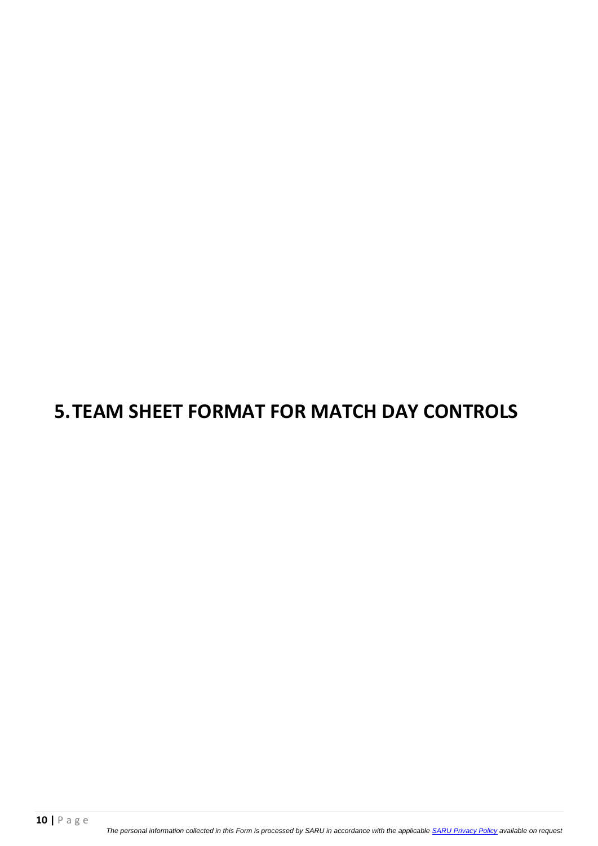## **5.TEAM SHEET FORMAT FOR MATCH DAY CONTROLS**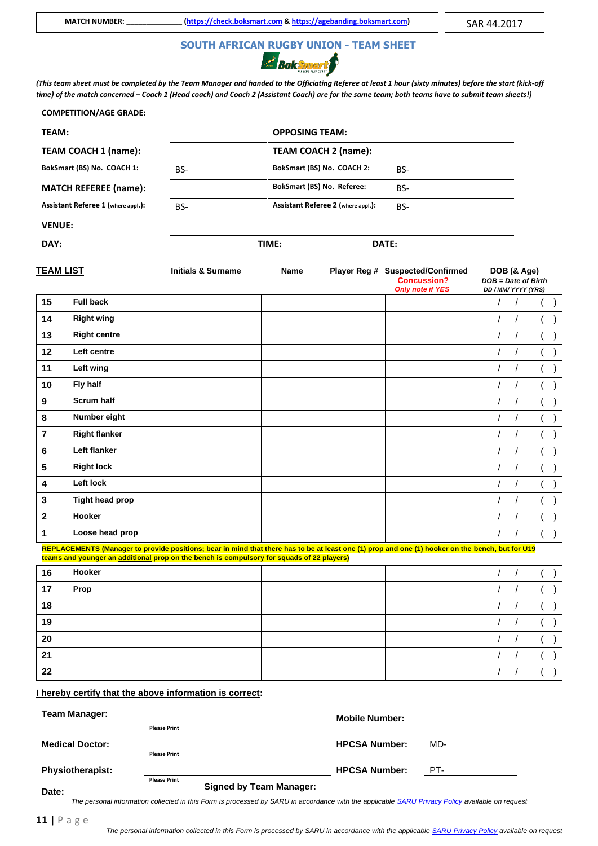# **SOUTH AFRICAN RUGBY UNION - TEAM SHEET**



*(This team sheet must be completed by the Team Manager and handed to the Officiating Referee at least 1 hour (sixty minutes) before the start (kick-off time) of the match concerned – Coach 1 (Head coach) and Coach 2 (Assistant Coach) are for the same team; both teams have to submit team sheets!)* 

|                         | <b>COMPETITION/AGE GRADE:</b>      |                                                                                                                                                                                                                                               |                       |                                    |                                                                                   |                                              |             |          |  |
|-------------------------|------------------------------------|-----------------------------------------------------------------------------------------------------------------------------------------------------------------------------------------------------------------------------------------------|-----------------------|------------------------------------|-----------------------------------------------------------------------------------|----------------------------------------------|-------------|----------|--|
| TEAM:                   |                                    |                                                                                                                                                                                                                                               | <b>OPPOSING TEAM:</b> |                                    |                                                                                   |                                              |             |          |  |
|                         | TEAM COACH 1 (name):               |                                                                                                                                                                                                                                               |                       | TEAM COACH 2 (name):               |                                                                                   |                                              |             |          |  |
|                         | BokSmart (BS) No. COACH 1:         | BS-                                                                                                                                                                                                                                           |                       | BokSmart (BS) No. COACH 2:         | BS-                                                                               |                                              |             |          |  |
|                         | <b>MATCH REFEREE (name):</b>       |                                                                                                                                                                                                                                               |                       | BokSmart (BS) No. Referee:         | BS-                                                                               |                                              |             |          |  |
|                         | Assistant Referee 1 (where appl.): | BS-                                                                                                                                                                                                                                           |                       | Assistant Referee 2 (where appl.): | BS-                                                                               |                                              |             |          |  |
| <b>VENUE:</b>           |                                    |                                                                                                                                                                                                                                               |                       |                                    |                                                                                   |                                              |             |          |  |
| DAY:                    |                                    |                                                                                                                                                                                                                                               | TIME:                 |                                    | DATE:                                                                             |                                              |             |          |  |
|                         |                                    |                                                                                                                                                                                                                                               |                       |                                    |                                                                                   |                                              |             |          |  |
| <u>TEAM LIST</u>        |                                    | <b>Initials &amp; Surname</b>                                                                                                                                                                                                                 | Name                  |                                    | Player Reg # Suspected/Confirmed<br><b>Concussion?</b><br><b>Only note if YES</b> | $DOB = Date$ of Birth<br>DD / MM/ YYYY (YRS) | DOB (& Age) |          |  |
| 15                      | <b>Full back</b>                   |                                                                                                                                                                                                                                               |                       |                                    |                                                                                   | $\prime$                                     | $\prime$    |          |  |
| 14                      | <b>Right wing</b>                  |                                                                                                                                                                                                                                               |                       |                                    |                                                                                   | $\sqrt{2}$                                   | $\prime$    |          |  |
| 13                      | <b>Right centre</b>                |                                                                                                                                                                                                                                               |                       |                                    |                                                                                   | $\prime$                                     | $\prime$    |          |  |
| 12                      | Left centre                        |                                                                                                                                                                                                                                               |                       |                                    |                                                                                   | $\prime$                                     | $\prime$    |          |  |
| 11                      | Left wing                          |                                                                                                                                                                                                                                               |                       |                                    |                                                                                   | $\prime$                                     | $\prime$    |          |  |
| 10                      | Fly half                           |                                                                                                                                                                                                                                               |                       |                                    |                                                                                   | $\prime$                                     | $\prime$    |          |  |
| $\boldsymbol{9}$        | <b>Scrum half</b>                  |                                                                                                                                                                                                                                               |                       |                                    |                                                                                   | $\prime$                                     | $\prime$    |          |  |
| 8                       | Number eight                       |                                                                                                                                                                                                                                               |                       |                                    |                                                                                   | $\sqrt{2}$                                   | $\sqrt{ }$  |          |  |
| $\overline{\mathbf{r}}$ | <b>Right flanker</b>               |                                                                                                                                                                                                                                               |                       |                                    |                                                                                   | $\prime$                                     | $\prime$    |          |  |
| 6                       | Left flanker                       |                                                                                                                                                                                                                                               |                       |                                    |                                                                                   | $\sqrt{2}$                                   | $\prime$    |          |  |
| ${\bf 5}$               | <b>Right lock</b>                  |                                                                                                                                                                                                                                               |                       |                                    |                                                                                   | $\sqrt{2}$                                   | $\prime$    |          |  |
| 4                       | Left lock                          |                                                                                                                                                                                                                                               |                       |                                    |                                                                                   | $\prime$                                     | $\prime$    |          |  |
| 3                       | <b>Tight head prop</b>             |                                                                                                                                                                                                                                               |                       |                                    |                                                                                   | $\prime$                                     | $\prime$    |          |  |
| $\overline{\mathbf{2}}$ | Hooker                             |                                                                                                                                                                                                                                               |                       |                                    |                                                                                   | $\prime$                                     | $\sqrt{2}$  |          |  |
| $\mathbf{1}$            | Loose head prop                    |                                                                                                                                                                                                                                               |                       |                                    |                                                                                   | $\prime$                                     | $\prime$    |          |  |
|                         |                                    | REPLACEMENTS (Manager to provide positions; bear in mind that there has to be at least one (1) prop and one (1) hooker on the bench, but for U19<br>teams and younger an additional prop on the bench is compulsory for squads of 22 players) |                       |                                    |                                                                                   |                                              |             |          |  |
| 16                      | Hooker                             |                                                                                                                                                                                                                                               |                       |                                    |                                                                                   | $\sqrt{ }$                                   | $\sqrt{2}$  |          |  |
| 17                      | Prop                               |                                                                                                                                                                                                                                               |                       |                                    |                                                                                   | $\prime$                                     | $\sqrt{ }$  |          |  |
| 18                      |                                    |                                                                                                                                                                                                                                               |                       |                                    |                                                                                   | $\prime$                                     | $\prime$    |          |  |
| 19                      |                                    |                                                                                                                                                                                                                                               |                       |                                    |                                                                                   | $\sqrt{2}$                                   | $\sqrt{2}$  |          |  |
| 20                      |                                    |                                                                                                                                                                                                                                               |                       |                                    |                                                                                   | $\prime$                                     | $\prime$    |          |  |
| 21                      |                                    |                                                                                                                                                                                                                                               |                       |                                    |                                                                                   | $\prime$                                     | $\sqrt{2}$  | $\left($ |  |
| 22                      |                                    |                                                                                                                                                                                                                                               |                       |                                    |                                                                                   | $\sqrt{2}$                                   | $\sqrt{2}$  | (        |  |
|                         |                                    | I hereby certify that the above information is correct:                                                                                                                                                                                       |                       |                                    |                                                                                   |                                              |             |          |  |
|                         | <b>Team Manager:</b>               | <b>Please Print</b>                                                                                                                                                                                                                           |                       | <b>Mobile Number:</b>              |                                                                                   |                                              |             |          |  |

**Medical Doctor:**

**Please Print** 

 **Please Print** 

**Physiotherapist:**

**Signed by Team Manager:**

*The personal information collected in this Form is processed by SARU in accordance with the applicabl[e SARU Privacy Policy](https://www.springboks.rugby/general/privacy-policy-updated-2021/) available on request*

**Date:**

**HPCSA Number:** MD-

**HPCSA Number:** PT-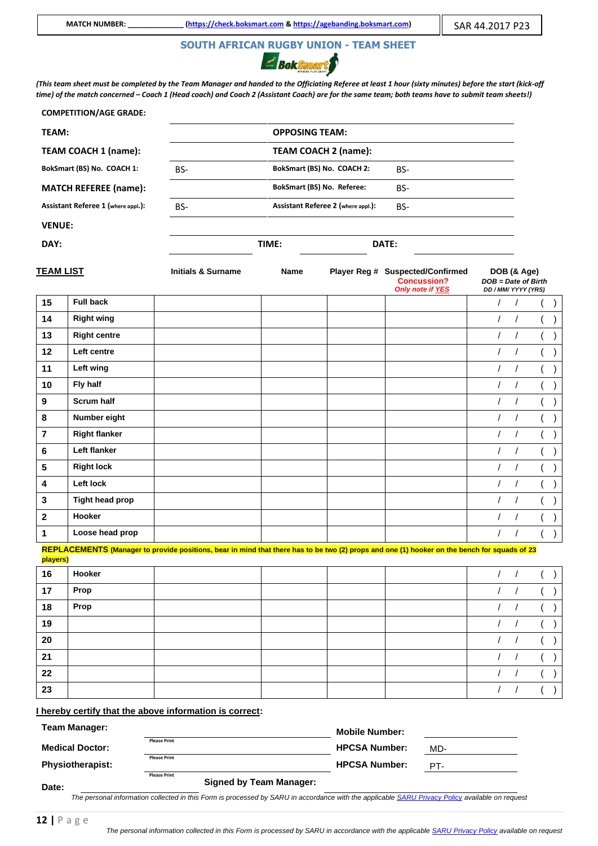# **SOUTH AFRICAN RUGBY UNION - TEAM SHEET**



*(This team sheet must be completed by the Team Manager and handed to the Officiating Referee at least 1 hour (sixty minutes) before the start (kick-off time) of the match concerned – Coach 1 (Head coach) and Coach 2 (Assistant Coach) are for the same team; both teams have to submit team sheets!)* 

|                  | <b>COMPETITION/AGE GRADE:</b>      |                                                                                                                                              |                       |                                    |                                                                            |                                                           |            |  |
|------------------|------------------------------------|----------------------------------------------------------------------------------------------------------------------------------------------|-----------------------|------------------------------------|----------------------------------------------------------------------------|-----------------------------------------------------------|------------|--|
| TEAM:            |                                    |                                                                                                                                              | <b>OPPOSING TEAM:</b> |                                    |                                                                            |                                                           |            |  |
|                  | TEAM COACH 1 (name):               |                                                                                                                                              |                       | TEAM COACH 2 (name):               |                                                                            |                                                           |            |  |
|                  | BokSmart (BS) No. COACH 1:         | BS-                                                                                                                                          |                       | BokSmart (BS) No. COACH 2:         | BS-                                                                        |                                                           |            |  |
|                  | <b>MATCH REFEREE (name):</b>       |                                                                                                                                              |                       | BokSmart (BS) No. Referee:         | BS-                                                                        |                                                           |            |  |
|                  | Assistant Referee 1 (where appl.): | BS-                                                                                                                                          |                       | Assistant Referee 2 (where appl.): | BS-                                                                        |                                                           |            |  |
| <b>VENUE:</b>    |                                    |                                                                                                                                              |                       |                                    |                                                                            |                                                           |            |  |
| DAY:             |                                    |                                                                                                                                              | TIME:                 |                                    | DATE:                                                                      |                                                           |            |  |
|                  |                                    |                                                                                                                                              |                       |                                    |                                                                            |                                                           |            |  |
| <u>TEAM LIST</u> |                                    | <b>Initials &amp; Surname</b>                                                                                                                | Name                  |                                    | Player Reg # Suspected/Confirmed<br><b>Concussion?</b><br>Only note if YES | DOB (& Age)<br>DOB = Date of Birth<br>DD / MM/ YYYY (YRS) |            |  |
| 15               | <b>Full back</b>                   |                                                                                                                                              |                       |                                    |                                                                            | $\prime$                                                  | $\sqrt{2}$ |  |
| 14               | <b>Right wing</b>                  |                                                                                                                                              |                       |                                    |                                                                            | $\sqrt{2}$                                                | $\sqrt{ }$ |  |
| 13               | <b>Right centre</b>                |                                                                                                                                              |                       |                                    |                                                                            | $\prime$                                                  | $\sqrt{ }$ |  |
| 12               | Left centre                        |                                                                                                                                              |                       |                                    |                                                                            | $\sqrt{2}$                                                | $\prime$   |  |
| 11               | Left wing                          |                                                                                                                                              |                       |                                    |                                                                            | $\sqrt{2}$                                                | $\prime$   |  |
| 10               | Fly half                           |                                                                                                                                              |                       |                                    |                                                                            | $\sqrt{2}$                                                | $\prime$   |  |
| $\boldsymbol{9}$ | <b>Scrum half</b>                  |                                                                                                                                              |                       |                                    |                                                                            | $\prime$                                                  | $\prime$   |  |
| 8                | Number eight                       |                                                                                                                                              |                       |                                    |                                                                            | $\sqrt{2}$                                                | $\sqrt{ }$ |  |
| $\overline{7}$   | <b>Right flanker</b>               |                                                                                                                                              |                       |                                    |                                                                            | $\prime$                                                  | $\prime$   |  |
| $\bf 6$          | Left flanker                       |                                                                                                                                              |                       |                                    |                                                                            | $\prime$                                                  | $\prime$   |  |
| $5\phantom{.0}$  | <b>Right lock</b>                  |                                                                                                                                              |                       |                                    |                                                                            | $\sqrt{2}$                                                | $\prime$   |  |
| 4                | Left lock                          |                                                                                                                                              |                       |                                    |                                                                            | $\prime$                                                  | $\prime$   |  |
| 3                | <b>Tight head prop</b>             |                                                                                                                                              |                       |                                    |                                                                            | $\sqrt{2}$                                                | $\prime$   |  |
| $\mathbf{2}$     | Hooker                             |                                                                                                                                              |                       |                                    |                                                                            | $\prime$                                                  | $\prime$   |  |
| 1                | Loose head prop                    |                                                                                                                                              |                       |                                    |                                                                            | $\prime$                                                  | $\prime$   |  |
| players)         |                                    | REPLACEMENTS (Manager to provide positions, bear in mind that there has to be two (2) props and one (1) hooker on the bench for squads of 23 |                       |                                    |                                                                            |                                                           |            |  |
| 16               | Hooker                             |                                                                                                                                              |                       |                                    |                                                                            | $\prime$                                                  | $\sqrt{2}$ |  |
| 17               | Prop                               |                                                                                                                                              |                       |                                    |                                                                            | $\sqrt{2}$                                                | $\prime$   |  |
| 18               | Prop                               |                                                                                                                                              |                       |                                    |                                                                            | $\prime$                                                  | $\prime$   |  |
| 19               |                                    |                                                                                                                                              |                       |                                    |                                                                            | $\prime$                                                  | $\prime$   |  |
| 20               |                                    |                                                                                                                                              |                       |                                    |                                                                            | $\prime$                                                  | $\sqrt{2}$ |  |
| 21               |                                    |                                                                                                                                              |                       |                                    |                                                                            | $\sqrt{2}$                                                | $\prime$   |  |
| 22               |                                    |                                                                                                                                              |                       |                                    |                                                                            | $\sqrt{2}$                                                | $\sqrt{ }$ |  |
| 23               |                                    |                                                                                                                                              |                       |                                    |                                                                            | $\sqrt{2}$                                                | $\sqrt{2}$ |  |
|                  |                                    | I hereby certify that the above information is correct:                                                                                      |                       |                                    |                                                                            |                                                           |            |  |
|                  | <b>Team Manager:</b>               |                                                                                                                                              |                       | Mahila Numbari                     |                                                                            |                                                           |            |  |

**Mobile Number: Medical Doctor: Please Print HPCSA Number:** MD-**Physiotherapist: Please Print HPCSA Number:** PT- **Please Print** 

**Date:**

**Signed by Team Manager:**

*The personal information collected in this Form is processed by SARU in accordance with the applicabl[e SARU Privacy Policy](https://www.springboks.rugby/general/privacy-policy-updated-2021/) available on request*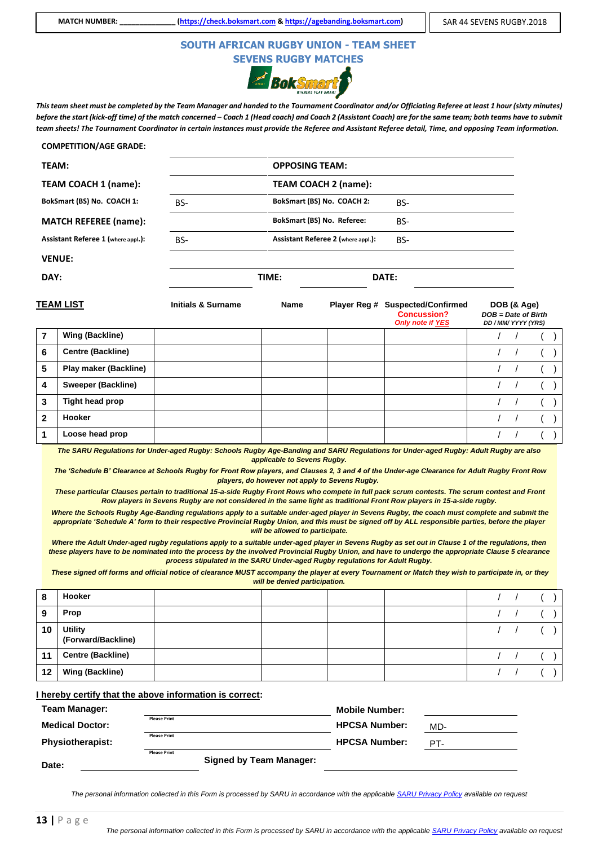### **SOUTH AFRICAN RUGBY UNION - TEAM SHEET SEVENS RUGBY MATCHES**

**Bok** Smart

*This team sheet must be completed by the Team Manager and handed to the Tournament Coordinator and/or Officiating Referee at least 1 hour (sixty minutes) before the start (kick-off time) of the match concerned – Coach 1 (Head coach) and Coach 2 (Assistant Coach) are for the same team; both teams have to submit team sheets! The Tournament Coordinator in certain instances must provide the Referee and Assistant Referee detail, Time, and opposing Team information.* 

#### **COMPETITION/AGE GRADE:**

| <b>TEAM:</b>                       |     | <b>OPPOSING TEAM:</b>              |       |
|------------------------------------|-----|------------------------------------|-------|
| TEAM COACH 1 (name):               |     | <b>TEAM COACH 2 (name):</b>        |       |
| BokSmart (BS) No. COACH 1:         | BS- | BokSmart (BS) No. COACH 2:         | BS-   |
| <b>MATCH REFEREE (name):</b>       |     | <b>BokSmart (BS) No. Referee:</b>  | BS-   |
| Assistant Referee 1 (where appl.): | BS- | Assistant Referee 2 (where appl.): | BS-   |
| <b>VENUE:</b>                      |     |                                    |       |
| DAY:                               |     | TIME:                              | DATE: |
|                                    |     |                                    |       |

|   | <b>TEAM LIST</b>             | <b>Initials &amp; Surname</b> | <b>Name</b> | Player Reg # | <b>Suspected/Confirmed</b><br><b>Concussion?</b><br><b>Only note if YES</b> | DOB (& Age)<br>$DOB = Date$ of Birth<br>DD / MM/ YYYY (YRS) |  |
|---|------------------------------|-------------------------------|-------------|--------------|-----------------------------------------------------------------------------|-------------------------------------------------------------|--|
|   | Wing (Backline)              |                               |             |              |                                                                             |                                                             |  |
| 6 | <b>Centre (Backline)</b>     |                               |             |              |                                                                             |                                                             |  |
| 5 | <b>Play maker (Backline)</b> |                               |             |              |                                                                             |                                                             |  |
| 4 | <b>Sweeper (Backline)</b>    |                               |             |              |                                                                             |                                                             |  |
| 3 | Tight head prop              |                               |             |              |                                                                             |                                                             |  |
| 2 | Hooker                       |                               |             |              |                                                                             |                                                             |  |
|   | Loose head prop              |                               |             |              |                                                                             |                                                             |  |

*The SARU Regulations for Under-aged Rugby: Schools Rugby Age-Banding and SARU Regulations for Under-aged Rugby: Adult Rugby are also applicable to Sevens Rugby.*

*The 'Schedule B' Clearance at Schools Rugby for Front Row players, and Clauses 2, 3 and 4 of the Under-age Clearance for Adult Rugby Front Row players, do however not apply to Sevens Rugby.*

*These particular Clauses pertain to traditional 15-a-side Rugby Front Rows who compete in full pack scrum contests. The scrum contest and Front Row players in Sevens Rugby are not considered in the same light as traditional Front Row players in 15-a-side rugby.*

Where the Schools Rugby Age-Banding regulations apply to a suitable under-aged player in Sevens Rugby, the coach must complete and submit the *appropriate 'Schedule A' form to their respective Provincial Rugby Union, and this must be signed off by ALL responsible parties, before the player will be allowed to participate.*

Where the Adult Under-aged rugby regulations apply to a suitable under-aged player in Sevens Rugby as set out in Clause 1 of the regulations, then *these players have to be nominated into the process by the involved Provincial Rugby Union, and have to undergo the appropriate Clause 5 clearance process stipulated in the SARU Under-aged Rugby regulations for Adult Rugby.*

*These signed off forms and official notice of clearance MUST accompany the player at every Tournament or Match they wish to participate in, or they will be denied participation.*

| 8  | Hooker                               |  |  |  |  |
|----|--------------------------------------|--|--|--|--|
| 9  | Prop                                 |  |  |  |  |
| 10 | <b>Utility</b><br>(Forward/Backline) |  |  |  |  |
| 11 | <b>Centre (Backline)</b>             |  |  |  |  |
| 12 | <b>Wing (Backline)</b>               |  |  |  |  |

#### **I hereby certify that the above information is correct:**

| <b>Team Manager:</b>    |                     |                                | <b>Mobile Number:</b> |     |
|-------------------------|---------------------|--------------------------------|-----------------------|-----|
| <b>Medical Doctor:</b>  | <b>Please Print</b> |                                | <b>HPCSA Number:</b>  | MD- |
| <b>Physiotherapist:</b> | <b>Please Print</b> |                                | <b>HPCSA Number:</b>  | PT- |
| Date:                   | <b>Please Print</b> | <b>Signed by Team Manager:</b> |                       |     |

*The personal information collected in this Form is processed by SARU in accordance with the applicabl[e SARU Privacy Policy](https://www.springboks.rugby/general/privacy-policy-updated-2021/) available on request*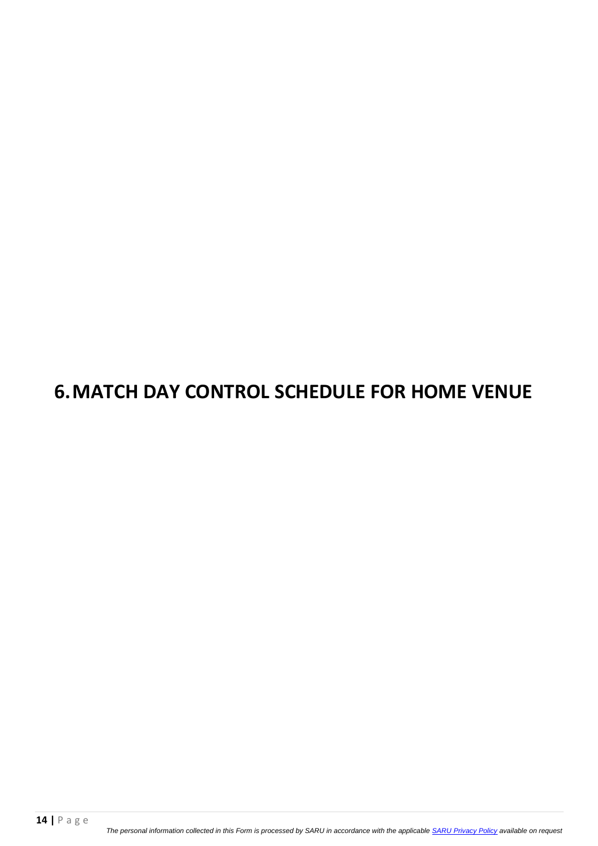## **6.MATCH DAY CONTROL SCHEDULE FOR HOME VENUE**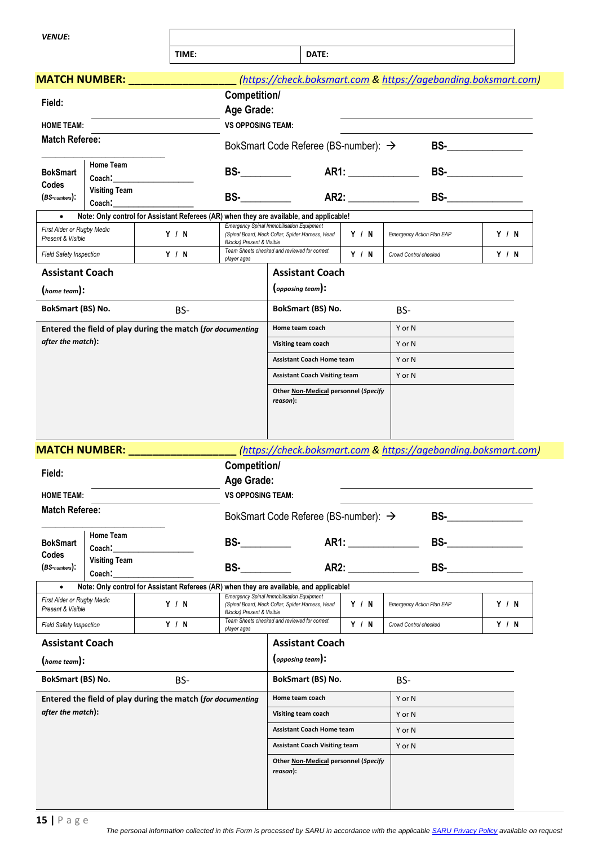*VENUE***:**

TIME: **D** 

| ΑT<br>נ |  |
|---------|--|
|         |  |

|                                                             | <b>MATCH NUMBER:</b>           |                                                                                                                                                                                                                                     |                                                                                                                                                                                                                                    |                                                                                                      |                       | (https://check.boksmart.com & https://agebanding.boksmart.com) |                      |
|-------------------------------------------------------------|--------------------------------|-------------------------------------------------------------------------------------------------------------------------------------------------------------------------------------------------------------------------------------|------------------------------------------------------------------------------------------------------------------------------------------------------------------------------------------------------------------------------------|------------------------------------------------------------------------------------------------------|-----------------------|----------------------------------------------------------------|----------------------|
| Field:                                                      |                                |                                                                                                                                                                                                                                     | Competition/                                                                                                                                                                                                                       |                                                                                                      |                       |                                                                |                      |
|                                                             |                                |                                                                                                                                                                                                                                     | Age Grade:<br><b>VS OPPOSING TEAM:</b>                                                                                                                                                                                             |                                                                                                      |                       |                                                                |                      |
| <b>HOME TEAM:</b><br><b>Match Referee:</b>                  |                                |                                                                                                                                                                                                                                     |                                                                                                                                                                                                                                    |                                                                                                      |                       |                                                                |                      |
|                                                             |                                |                                                                                                                                                                                                                                     |                                                                                                                                                                                                                                    | BokSmart Code Referee (BS-number): $\rightarrow$                                                     |                       |                                                                | BS- $\qquad \qquad$  |
| <b>BokSmart</b>                                             | Home Team<br>Coach:            |                                                                                                                                                                                                                                     | $BS-$                                                                                                                                                                                                                              |                                                                                                      |                       |                                                                | BS-________________  |
| Codes                                                       | <b>Visiting Team</b>           |                                                                                                                                                                                                                                     |                                                                                                                                                                                                                                    |                                                                                                      |                       |                                                                |                      |
| $(BS-numbers):$                                             | Coach:                         |                                                                                                                                                                                                                                     | <b>BS-</b>                                                                                                                                                                                                                         |                                                                                                      | AR2:                  |                                                                | <b>BS-</b> _________ |
| $\bullet$<br>First Aider or Rugby Medic                     |                                | Note: Only control for Assistant Referees (AR) when they are available, and applicable!                                                                                                                                             |                                                                                                                                                                                                                                    | Emergency Spinal Immobilisation Equipment                                                            |                       |                                                                |                      |
| Present & Visible                                           |                                | Y / N                                                                                                                                                                                                                               | <b>Blocks) Present &amp; Visible</b>                                                                                                                                                                                               | (Spinal Board, Neck Collar, Spider Harness, Head                                                     | Y / N                 | <b>Emergency Action Plan EAP</b>                               | Y / N                |
| <b>Field Safety Inspection</b>                              |                                | Y/N                                                                                                                                                                                                                                 | player ages                                                                                                                                                                                                                        | Team Sheets checked and reviewed for correct                                                         | Y/N                   | Crowd Control checked                                          | Y / N                |
| <b>Assistant Coach</b>                                      |                                |                                                                                                                                                                                                                                     |                                                                                                                                                                                                                                    | <b>Assistant Coach</b>                                                                               |                       |                                                                |                      |
| (home team):                                                |                                |                                                                                                                                                                                                                                     |                                                                                                                                                                                                                                    | (opposing team):                                                                                     |                       |                                                                |                      |
| BokSmart (BS) No.                                           |                                | BS-                                                                                                                                                                                                                                 |                                                                                                                                                                                                                                    | BokSmart (BS) No.                                                                                    |                       | BS-                                                            |                      |
|                                                             |                                | Entered the field of play during the match (for documenting                                                                                                                                                                         |                                                                                                                                                                                                                                    | Home team coach                                                                                      |                       | Y or N                                                         |                      |
| after the match):                                           |                                |                                                                                                                                                                                                                                     |                                                                                                                                                                                                                                    | Visiting team coach                                                                                  |                       | Y or N                                                         |                      |
|                                                             |                                |                                                                                                                                                                                                                                     |                                                                                                                                                                                                                                    | <b>Assistant Coach Home team</b>                                                                     | Y or N                |                                                                |                      |
|                                                             |                                |                                                                                                                                                                                                                                     |                                                                                                                                                                                                                                    | <b>Assistant Coach Visiting team</b>                                                                 |                       | Y or N                                                         |                      |
|                                                             |                                |                                                                                                                                                                                                                                     |                                                                                                                                                                                                                                    |                                                                                                      |                       |                                                                |                      |
|                                                             |                                | <b>MATCH NUMBER:</b> And the state of the state of the state of the state of the state of the state of the state of the state of the state of the state of the state of the state of the state of the state of the state of the sta |                                                                                                                                                                                                                                    |                                                                                                      |                       | (https://check.boksmart.com & https://agebanding.boksmart.com) |                      |
| Field:                                                      |                                |                                                                                                                                                                                                                                     | Competition/                                                                                                                                                                                                                       |                                                                                                      |                       |                                                                |                      |
|                                                             |                                |                                                                                                                                                                                                                                     | Age Grade:                                                                                                                                                                                                                         |                                                                                                      |                       |                                                                |                      |
| <b>HOME TEAM:</b>                                           |                                |                                                                                                                                                                                                                                     | <b>VS OPPOSING TEAM:</b>                                                                                                                                                                                                           |                                                                                                      |                       |                                                                |                      |
| <b>Match Referee:</b>                                       |                                |                                                                                                                                                                                                                                     |                                                                                                                                                                                                                                    | BokSmart Code Referee (BS-number): →                                                                 |                       | BS-                                                            |                      |
| <b>BokSmart</b>                                             | Home Team                      |                                                                                                                                                                                                                                     | <b>BS-</b> Production of the set of the set of the set of the set of the set of the set of the set of the set of the set of the set of the set of the set of the set of the set of the set of the set of the set of the set of the |                                                                                                      |                       |                                                                | <b>BS-</b>           |
| Codes                                                       | Coach:<br><b>Visiting Team</b> |                                                                                                                                                                                                                                     |                                                                                                                                                                                                                                    |                                                                                                      |                       |                                                                |                      |
| $(BS$ -numbers $):$                                         | Coach:                         |                                                                                                                                                                                                                                     | $BS-$                                                                                                                                                                                                                              |                                                                                                      |                       | AR2:                                                           |                      |
| $\bullet$                                                   |                                | Note: Only control for Assistant Referees (AR) when they are available, and applicable!                                                                                                                                             |                                                                                                                                                                                                                                    |                                                                                                      |                       |                                                                |                      |
| First Aider or Rugby Medic<br>Present & Visible             |                                | Y / N                                                                                                                                                                                                                               | <b>Blocks) Present &amp; Visible</b>                                                                                                                                                                                               | <b>Emergency Spinal Immobilisation Equipment</b><br>(Spinal Board, Neck Collar, Spider Harness, Head | Y / N                 | <b>Emergency Action Plan EAP</b>                               | Y / N                |
| Y / N<br><b>Field Safety Inspection</b>                     |                                | player ages                                                                                                                                                                                                                         | Team Sheets checked and reviewed for correct                                                                                                                                                                                       | Y / N                                                                                                | Crowd Control checked | Y / N                                                          |                      |
| <b>Assistant Coach</b>                                      |                                |                                                                                                                                                                                                                                     |                                                                                                                                                                                                                                    | <b>Assistant Coach</b>                                                                               |                       |                                                                |                      |
| (home team):                                                |                                |                                                                                                                                                                                                                                     |                                                                                                                                                                                                                                    | (opposing team):                                                                                     |                       |                                                                |                      |
| BokSmart (BS) No.<br>BS-                                    |                                |                                                                                                                                                                                                                                     | BokSmart (BS) No.<br>BS-                                                                                                                                                                                                           |                                                                                                      |                       |                                                                |                      |
| Entered the field of play during the match (for documenting |                                |                                                                                                                                                                                                                                     | Y or N<br>Home team coach                                                                                                                                                                                                          |                                                                                                      |                       |                                                                |                      |
| after the match):                                           |                                |                                                                                                                                                                                                                                     | Visiting team coach<br>Y or N                                                                                                                                                                                                      |                                                                                                      |                       |                                                                |                      |
|                                                             |                                |                                                                                                                                                                                                                                     |                                                                                                                                                                                                                                    | <b>Assistant Coach Home team</b>                                                                     |                       | Y or N                                                         |                      |
|                                                             |                                |                                                                                                                                                                                                                                     |                                                                                                                                                                                                                                    | <b>Assistant Coach Visiting team</b>                                                                 |                       | Y or N                                                         |                      |
|                                                             |                                |                                                                                                                                                                                                                                     |                                                                                                                                                                                                                                    | Other Non-Medical personnel (Specify<br>reason):                                                     |                       |                                                                |                      |
|                                                             |                                |                                                                                                                                                                                                                                     |                                                                                                                                                                                                                                    |                                                                                                      |                       |                                                                |                      |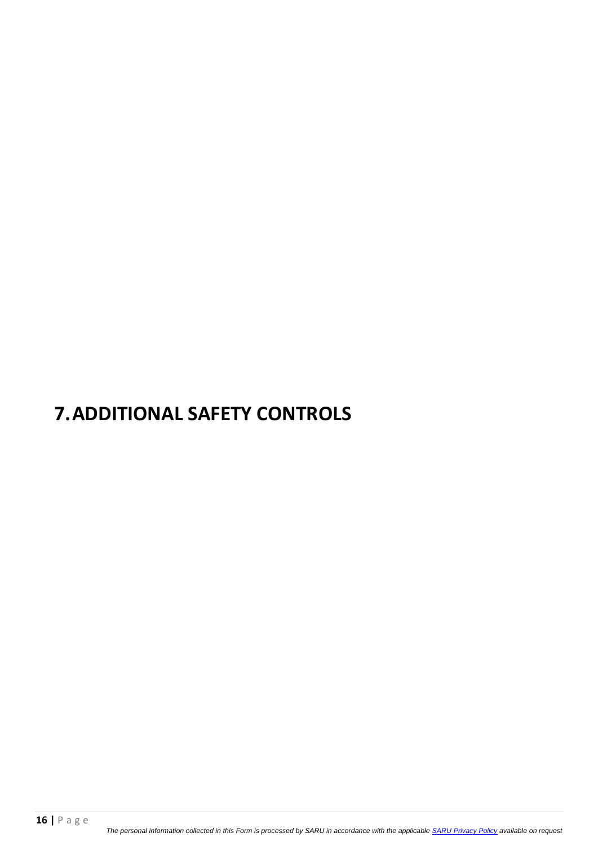## **7.ADDITIONAL SAFETY CONTROLS**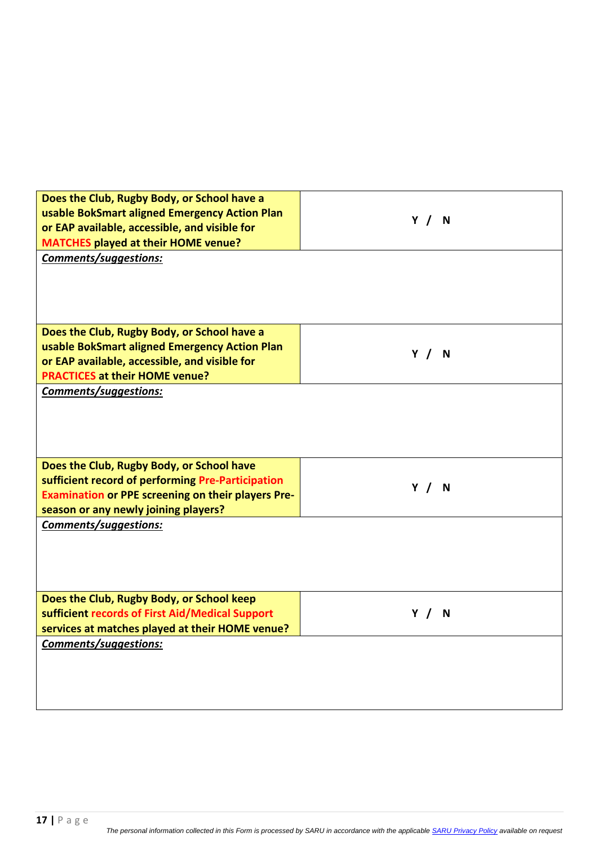| Does the Club, Rugby Body, or School have a<br>usable BokSmart aligned Emergency Action Plan<br>or EAP available, accessible, and visible for<br><b>MATCHES played at their HOME venue?</b> | Y / N |
|---------------------------------------------------------------------------------------------------------------------------------------------------------------------------------------------|-------|
| Comments/suggestions:                                                                                                                                                                       |       |
|                                                                                                                                                                                             |       |
|                                                                                                                                                                                             |       |
|                                                                                                                                                                                             |       |
|                                                                                                                                                                                             |       |
| Does the Club, Rugby Body, or School have a                                                                                                                                                 |       |
| usable BokSmart aligned Emergency Action Plan                                                                                                                                               |       |
| or EAP available, accessible, and visible for                                                                                                                                               | Y / N |
| <b>PRACTICES at their HOME venue?</b>                                                                                                                                                       |       |
|                                                                                                                                                                                             |       |
| Comments/suggestions:                                                                                                                                                                       |       |
|                                                                                                                                                                                             |       |
|                                                                                                                                                                                             |       |
|                                                                                                                                                                                             |       |
|                                                                                                                                                                                             |       |
| Does the Club, Rugby Body, or School have                                                                                                                                                   |       |
| sufficient record of performing Pre-Participation                                                                                                                                           | Y / N |
| <b>Examination or PPE screening on their players Pre-</b>                                                                                                                                   |       |
| season or any newly joining players?                                                                                                                                                        |       |
| Comments/suggestions:                                                                                                                                                                       |       |
|                                                                                                                                                                                             |       |
|                                                                                                                                                                                             |       |
|                                                                                                                                                                                             |       |
|                                                                                                                                                                                             |       |
| Does the Club, Rugby Body, or School keep                                                                                                                                                   |       |
| sufficient records of First Aid/Medical Support                                                                                                                                             | Y/N   |
| services at matches played at their HOME venue?                                                                                                                                             |       |
| Comments/suggestions:                                                                                                                                                                       |       |
|                                                                                                                                                                                             |       |
|                                                                                                                                                                                             |       |
|                                                                                                                                                                                             |       |
|                                                                                                                                                                                             |       |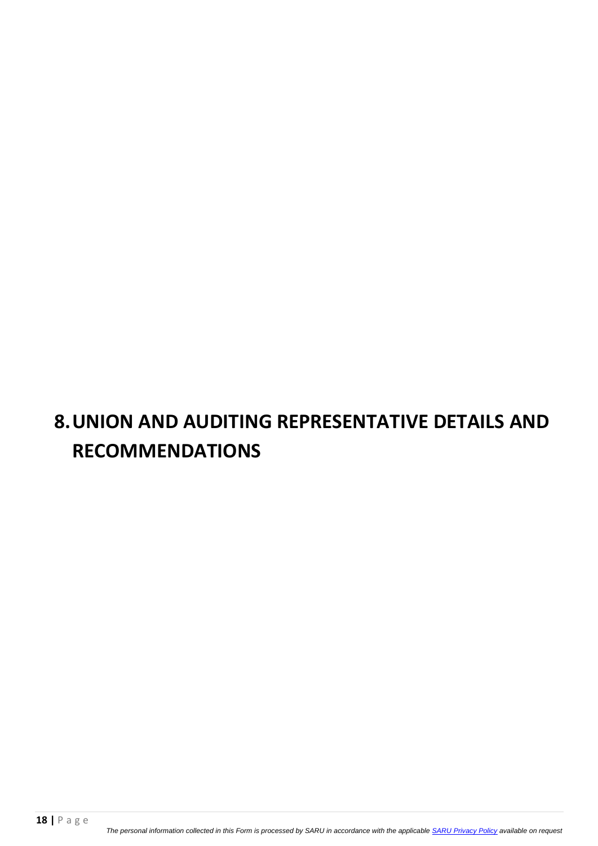## **8.UNION AND AUDITING REPRESENTATIVE DETAILS AND RECOMMENDATIONS**